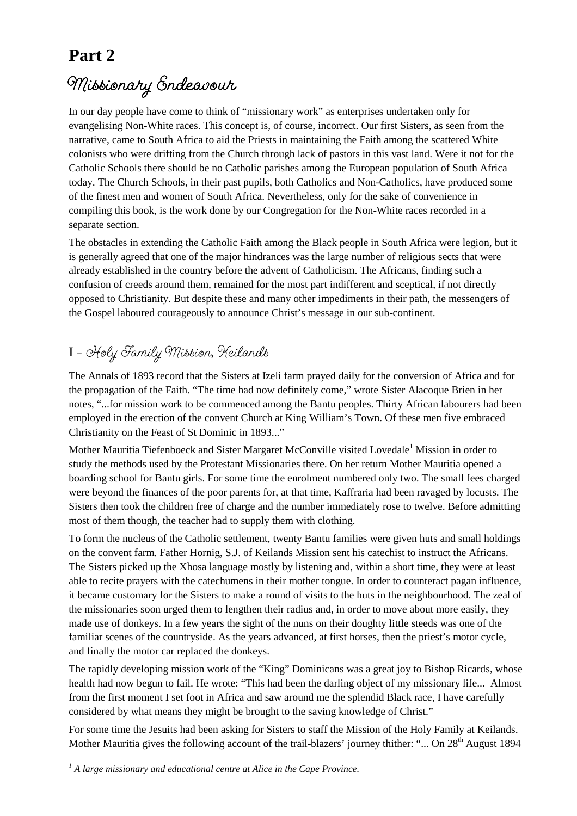## **Part 2**

## $M$ *issionary Endeavour*

In our day people have come to think of "missionary work" as enterprises undertaken only for evangelising Non-White races. This concept is, of course, incorrect. Our first Sisters, as seen from the narrative, came to South Africa to aid the Priests in maintaining the Faith among the scattered White colonists who were drifting from the Church through lack of pastors in this vast land. Were it not for the Catholic Schools there should be no Catholic parishes among the European population of South Africa today. The Church Schools, in their past pupils, both Catholics and Non-Catholics, have produced some of the finest men and women of South Africa. Nevertheless, only for the sake of convenience in compiling this book, is the work done by our Congregation for the Non-White races recorded in a separate section.

The obstacles in extending the Catholic Faith among the Black people in South Africa were legion, but it is generally agreed that one of the major hindrances was the large number of religious sects that were already established in the country before the advent of Catholicism. The Africans, finding such a confusion of creeds around them, remained for the most part indifferent and sceptical, if not directly opposed to Christianity. But despite these and many other impediments in their path, the messengers of the Gospel laboured courageously to announce Christ's message in our sub-continent.

## I **– Holy Family Mission, Keilands**

The Annals of 1893 record that the Sisters at Izeli farm prayed daily for the conversion of Africa and for the propagation of the Faith. "The time had now definitely come," wrote Sister Alacoque Brien in her notes, "...for mission work to be commenced among the Bantu peoples. Thirty African labourers had been employed in the erection of the convent Church at King William's Town. Of these men five embraced Christianity on the Feast of St Dominic in 1893..."

Mother Mauritia Tiefenboeck and Sister Margaret McConville visited Lovedale<sup>1</sup> Mission in order to study the methods used by the Protestant Missionaries there. On her return Mother Mauritia opened a boarding school for Bantu girls. For some time the enrolment numbered only two. The small fees charged were beyond the finances of the poor parents for, at that time, Kaffraria had been ravaged by locusts. The Sisters then took the children free of charge and the number immediately rose to twelve. Before admitting most of them though, the teacher had to supply them with clothing.

To form the nucleus of the Catholic settlement, twenty Bantu families were given huts and small holdings on the convent farm. Father Hornig, S.J. of Keilands Mission sent his catechist to instruct the Africans. The Sisters picked up the Xhosa language mostly by listening and, within a short time, they were at least able to recite prayers with the catechumens in their mother tongue. In order to counteract pagan influence, it became customary for the Sisters to make a round of visits to the huts in the neighbourhood. The zeal of the missionaries soon urged them to lengthen their radius and, in order to move about more easily, they made use of donkeys. In a few years the sight of the nuns on their doughty little steeds was one of the familiar scenes of the countryside. As the years advanced, at first horses, then the priest's motor cycle, and finally the motor car replaced the donkeys.

The rapidly developing mission work of the "King" Dominicans was a great joy to Bishop Ricards, whose health had now begun to fail. He wrote: "This had been the darling object of my missionary life... Almost from the first moment I set foot in Africa and saw around me the splendid Black race, I have carefully considered by what means they might be brought to the saving knowledge of Christ."

For some time the Jesuits had been asking for Sisters to staff the Mission of the Holy Family at Keilands. Mother Mauritia gives the following account of the trail-blazers' journey thither: "... On 28<sup>th</sup> August 1894

 $\overline{a}$ <sup>1</sup> A large missionary and educational centre at Alice in the Cape Province.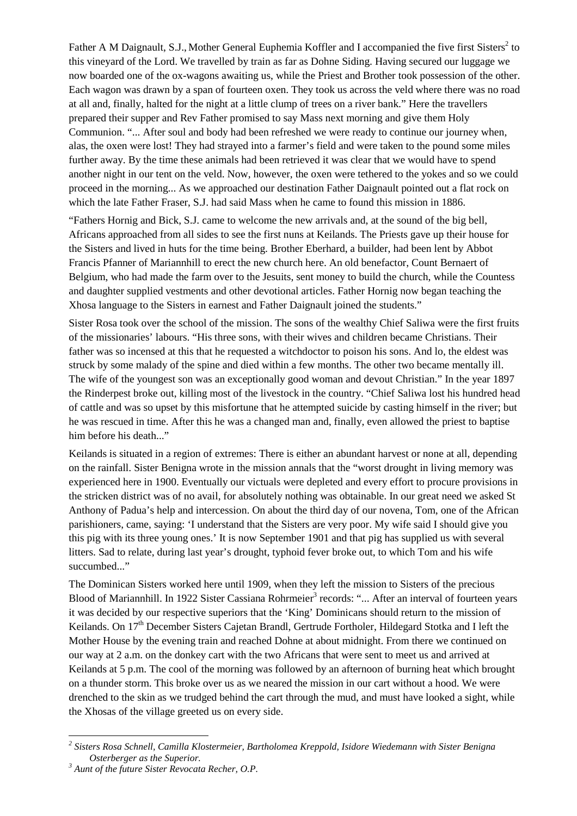Father A M Daignault, S.J., Mother General Euphemia Koffler and I accompanied the five first Sisters<sup>2</sup> to this vineyard of the Lord. We travelled by train as far as Dohne Siding. Having secured our luggage we now boarded one of the ox-wagons awaiting us, while the Priest and Brother took possession of the other. Each wagon was drawn by a span of fourteen oxen. They took us across the veld where there was no road at all and, finally, halted for the night at a little clump of trees on a river bank." Here the travellers prepared their supper and Rev Father promised to say Mass next morning and give them Holy Communion. "... After soul and body had been refreshed we were ready to continue our journey when, alas, the oxen were lost! They had strayed into a farmer's field and were taken to the pound some miles further away. By the time these animals had been retrieved it was clear that we would have to spend another night in our tent on the veld. Now, however, the oxen were tethered to the yokes and so we could proceed in the morning... As we approached our destination Father Daignault pointed out a flat rock on which the late Father Fraser, S.J. had said Mass when he came to found this mission in 1886.

"Fathers Hornig and Bick, S.J. came to welcome the new arrivals and, at the sound of the big bell, Africans approached from all sides to see the first nuns at Keilands. The Priests gave up their house for the Sisters and lived in huts for the time being. Brother Eberhard, a builder, had been lent by Abbot Francis Pfanner of Mariannhill to erect the new church here. An old benefactor, Count Bernaert of Belgium, who had made the farm over to the Jesuits, sent money to build the church, while the Countess and daughter supplied vestments and other devotional articles. Father Hornig now began teaching the Xhosa language to the Sisters in earnest and Father Daignault joined the students."

Sister Rosa took over the school of the mission. The sons of the wealthy Chief Saliwa were the first fruits of the missionaries' labours. "His three sons, with their wives and children became Christians. Their father was so incensed at this that he requested a witchdoctor to poison his sons. And lo, the eldest was struck by some malady of the spine and died within a few months. The other two became mentally ill. The wife of the youngest son was an exceptionally good woman and devout Christian." In the year 1897 the Rinderpest broke out, killing most of the livestock in the country. "Chief Saliwa lost his hundred head of cattle and was so upset by this misfortune that he attempted suicide by casting himself in the river; but he was rescued in time. After this he was a changed man and, finally, even allowed the priest to baptise him before his death..."

Keilands is situated in a region of extremes: There is either an abundant harvest or none at all, depending on the rainfall. Sister Benigna wrote in the mission annals that the "worst drought in living memory was experienced here in 1900. Eventually our victuals were depleted and every effort to procure provisions in the stricken district was of no avail, for absolutely nothing was obtainable. In our great need we asked St Anthony of Padua's help and intercession. On about the third day of our novena, Tom, one of the African parishioners, came, saying: 'I understand that the Sisters are very poor. My wife said I should give you this pig with its three young ones.' It is now September 1901 and that pig has supplied us with several litters. Sad to relate, during last year's drought, typhoid fever broke out, to which Tom and his wife succumbed..."

The Dominican Sisters worked here until 1909, when they left the mission to Sisters of the precious Blood of Mariannhill. In 1922 Sister Cassiana Rohrmeier<sup>3</sup> records: "... After an interval of fourteen years it was decided by our respective superiors that the 'King' Dominicans should return to the mission of Keilands. On 17<sup>th</sup> December Sisters Cajetan Brandl, Gertrude Fortholer, Hildegard Stotka and I left the Mother House by the evening train and reached Dohne at about midnight. From there we continued on our way at 2 a.m. on the donkey cart with the two Africans that were sent to meet us and arrived at Keilands at 5 p.m. The cool of the morning was followed by an afternoon of burning heat which brought on a thunder storm. This broke over us as we neared the mission in our cart without a hood. We were drenched to the skin as we trudged behind the cart through the mud, and must have looked a sight, while the Xhosas of the village greeted us on every side.

 $\overline{a}$ 

*<sup>2</sup> Sisters Rosa Schnell, Camilla Klostermeier, Bartholomea Kreppold, Isidore Wiedemann with Sister Benigna Osterberger as the Superior.* 

*<sup>3</sup> Aunt of the future Sister Revocata Recher, O.P.*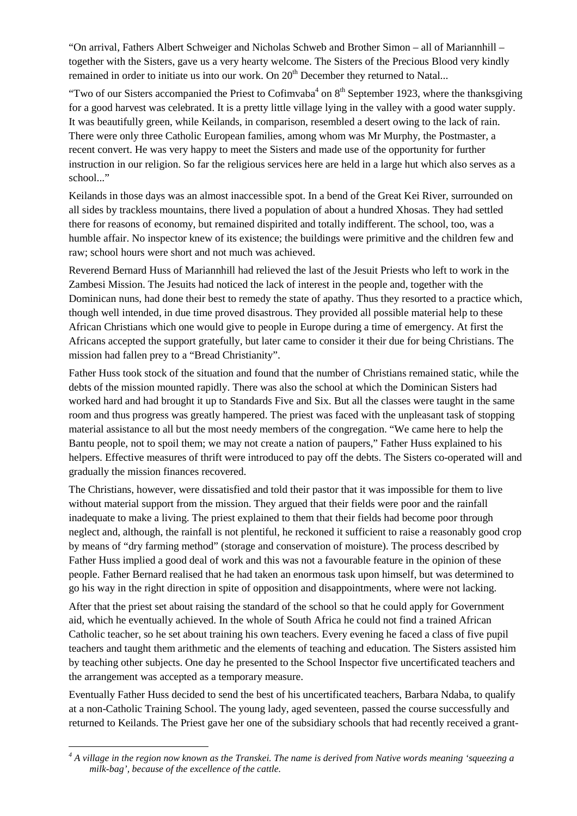"On arrival, Fathers Albert Schweiger and Nicholas Schweb and Brother Simon – all of Mariannhill – together with the Sisters, gave us a very hearty welcome. The Sisters of the Precious Blood very kindly remained in order to initiate us into our work. On 20<sup>th</sup> December they returned to Natal...

"Two of our Sisters accompanied the Priest to Cofimvaba<sup>4</sup> on  $8<sup>th</sup>$  September 1923, where the thanksgiving for a good harvest was celebrated. It is a pretty little village lying in the valley with a good water supply. It was beautifully green, while Keilands, in comparison, resembled a desert owing to the lack of rain. There were only three Catholic European families, among whom was Mr Murphy, the Postmaster, a recent convert. He was very happy to meet the Sisters and made use of the opportunity for further instruction in our religion. So far the religious services here are held in a large hut which also serves as a school..."

Keilands in those days was an almost inaccessible spot. In a bend of the Great Kei River, surrounded on all sides by trackless mountains, there lived a population of about a hundred Xhosas. They had settled there for reasons of economy, but remained dispirited and totally indifferent. The school, too, was a humble affair. No inspector knew of its existence; the buildings were primitive and the children few and raw; school hours were short and not much was achieved.

Reverend Bernard Huss of Mariannhill had relieved the last of the Jesuit Priests who left to work in the Zambesi Mission. The Jesuits had noticed the lack of interest in the people and, together with the Dominican nuns, had done their best to remedy the state of apathy. Thus they resorted to a practice which, though well intended, in due time proved disastrous. They provided all possible material help to these African Christians which one would give to people in Europe during a time of emergency. At first the Africans accepted the support gratefully, but later came to consider it their due for being Christians. The mission had fallen prey to a "Bread Christianity".

Father Huss took stock of the situation and found that the number of Christians remained static, while the debts of the mission mounted rapidly. There was also the school at which the Dominican Sisters had worked hard and had brought it up to Standards Five and Six. But all the classes were taught in the same room and thus progress was greatly hampered. The priest was faced with the unpleasant task of stopping material assistance to all but the most needy members of the congregation. "We came here to help the Bantu people, not to spoil them; we may not create a nation of paupers," Father Huss explained to his helpers. Effective measures of thrift were introduced to pay off the debts. The Sisters co-operated will and gradually the mission finances recovered.

The Christians, however, were dissatisfied and told their pastor that it was impossible for them to live without material support from the mission. They argued that their fields were poor and the rainfall inadequate to make a living. The priest explained to them that their fields had become poor through neglect and, although, the rainfall is not plentiful, he reckoned it sufficient to raise a reasonably good crop by means of "dry farming method" (storage and conservation of moisture). The process described by Father Huss implied a good deal of work and this was not a favourable feature in the opinion of these people. Father Bernard realised that he had taken an enormous task upon himself, but was determined to go his way in the right direction in spite of opposition and disappointments, where were not lacking.

After that the priest set about raising the standard of the school so that he could apply for Government aid, which he eventually achieved. In the whole of South Africa he could not find a trained African Catholic teacher, so he set about training his own teachers. Every evening he faced a class of five pupil teachers and taught them arithmetic and the elements of teaching and education. The Sisters assisted him by teaching other subjects. One day he presented to the School Inspector five uncertificated teachers and the arrangement was accepted as a temporary measure.

Eventually Father Huss decided to send the best of his uncertificated teachers, Barbara Ndaba, to qualify at a non-Catholic Training School. The young lady, aged seventeen, passed the course successfully and returned to Keilands. The Priest gave her one of the subsidiary schools that had recently received a grant-

 *4 A village in the region now known as the Transkei. The name is derived from Native words meaning 'squeezing a milk-bag', because of the excellence of the cattle.*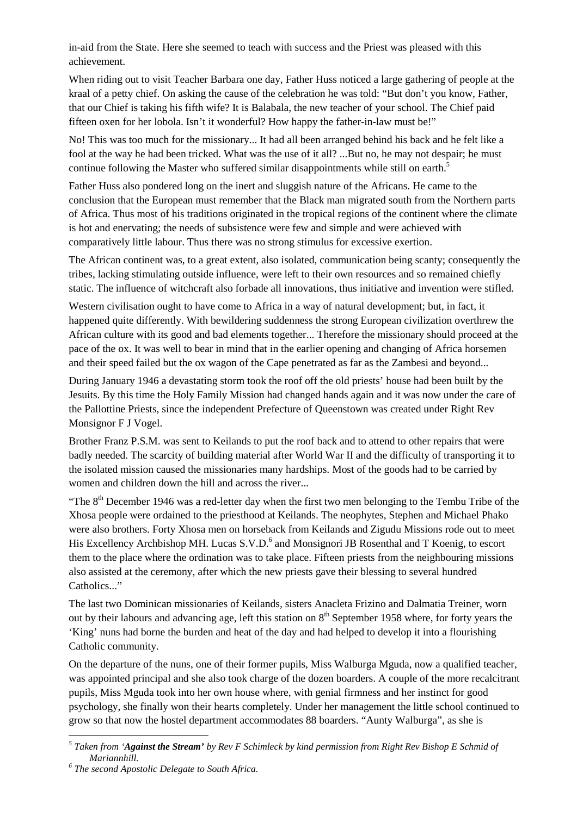in-aid from the State. Here she seemed to teach with success and the Priest was pleased with this achievement.

When riding out to visit Teacher Barbara one day, Father Huss noticed a large gathering of people at the kraal of a petty chief. On asking the cause of the celebration he was told: "But don't you know, Father, that our Chief is taking his fifth wife? It is Balabala, the new teacher of your school. The Chief paid fifteen oxen for her lobola. Isn't it wonderful? How happy the father-in-law must be!"

No! This was too much for the missionary... It had all been arranged behind his back and he felt like a fool at the way he had been tricked. What was the use of it all? ...But no, he may not despair; he must continue following the Master who suffered similar disappointments while still on earth.<sup>5</sup>

Father Huss also pondered long on the inert and sluggish nature of the Africans. He came to the conclusion that the European must remember that the Black man migrated south from the Northern parts of Africa. Thus most of his traditions originated in the tropical regions of the continent where the climate is hot and enervating; the needs of subsistence were few and simple and were achieved with comparatively little labour. Thus there was no strong stimulus for excessive exertion.

The African continent was, to a great extent, also isolated, communication being scanty; consequently the tribes, lacking stimulating outside influence, were left to their own resources and so remained chiefly static. The influence of witchcraft also forbade all innovations, thus initiative and invention were stifled.

Western civilisation ought to have come to Africa in a way of natural development; but, in fact, it happened quite differently. With bewildering suddenness the strong European civilization overthrew the African culture with its good and bad elements together... Therefore the missionary should proceed at the pace of the ox. It was well to bear in mind that in the earlier opening and changing of Africa horsemen and their speed failed but the ox wagon of the Cape penetrated as far as the Zambesi and beyond...

During January 1946 a devastating storm took the roof off the old priests' house had been built by the Jesuits. By this time the Holy Family Mission had changed hands again and it was now under the care of the Pallottine Priests, since the independent Prefecture of Queenstown was created under Right Rev Monsignor F J Vogel.

Brother Franz P.S.M. was sent to Keilands to put the roof back and to attend to other repairs that were badly needed. The scarcity of building material after World War II and the difficulty of transporting it to the isolated mission caused the missionaries many hardships. Most of the goods had to be carried by women and children down the hill and across the river...

"The 8<sup>th</sup> December 1946 was a red-letter day when the first two men belonging to the Tembu Tribe of the Xhosa people were ordained to the priesthood at Keilands. The neophytes, Stephen and Michael Phako were also brothers. Forty Xhosa men on horseback from Keilands and Zigudu Missions rode out to meet His Excellency Archbishop MH. Lucas S.V.D.<sup>6</sup> and Monsignori JB Rosenthal and T Koenig, to escort them to the place where the ordination was to take place. Fifteen priests from the neighbouring missions also assisted at the ceremony, after which the new priests gave their blessing to several hundred Catholics."

The last two Dominican missionaries of Keilands, sisters Anacleta Frizino and Dalmatia Treiner, worn out by their labours and advancing age, left this station on  $8<sup>th</sup>$  September 1958 where, for forty years the 'King' nuns had borne the burden and heat of the day and had helped to develop it into a flourishing Catholic community.

On the departure of the nuns, one of their former pupils, Miss Walburga Mguda, now a qualified teacher, was appointed principal and she also took charge of the dozen boarders. A couple of the more recalcitrant pupils, Miss Mguda took into her own house where, with genial firmness and her instinct for good psychology, she finally won their hearts completely. Under her management the little school continued to grow so that now the hostel department accommodates 88 boarders. "Aunty Walburga", as she is

 $\overline{a}$ 

*<sup>5</sup> Taken from 'Against the Stream' by Rev F Schimleck by kind permission from Right Rev Bishop E Schmid of Mariannhill.* 

*<sup>6</sup> The second Apostolic Delegate to South Africa.*